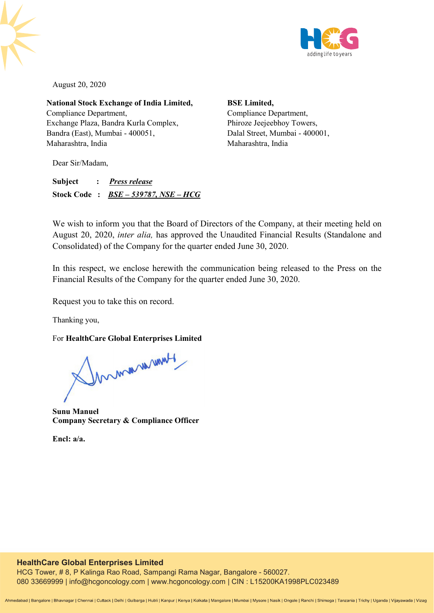

August 20, 2020

**National Stock Exchange of India Limited,**  Compliance Department, Exchange Plaza, Bandra Kurla Complex, Bandra (East), Mumbai - 400051, Maharashtra, India

**BSE Limited,**  Compliance Department, Phiroze Jeejeebhoy Towers, Dalal Street, Mumbai - 400001, Maharashtra, India

Dear Sir/Madam,

**Subject :** *Press release* **Stock Code :** *BSE – 539787, NSE – HCG*

We wish to inform you that the Board of Directors of the Company, at their meeting held on August 20, 2020, *inter alia,* has approved the Unaudited Financial Results (Standalone and Consolidated) of the Company for the quarter ended June 30, 2020.

In this respect, we enclose herewith the communication being released to the Press on the Financial Results of the Company for the quarter ended June 30, 2020.

Request you to take this on record.

Thanking you,

For **HealthCare Global Enterprises Limited** 

Innmanument

**Sunu Manuel Company Secretary & Compliance Officer** 

**Encl: a/a.**

# **HealthCare Global Enterprises Limited**

HCG Tower, # 8, P Kalinga Rao Road, Sampangi Rama Nagar, Bangalore - 560027. 080 33669999 | info@hcgoncology.com | www.hcgoncology.com | CIN : L15200KA1998PLC023489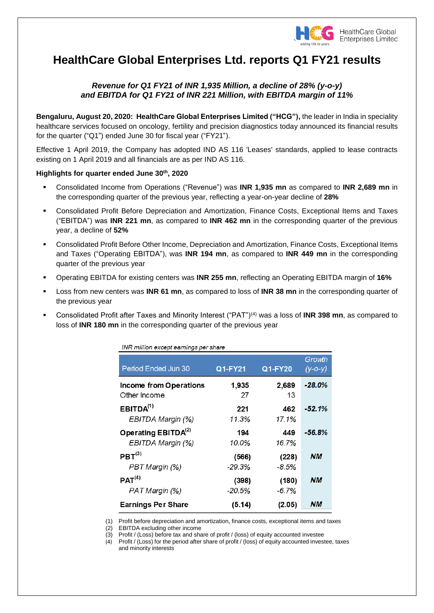

# **HealthCare Global Enterprises Ltd. reports Q1 FY21 results**

# *Revenue for Q1 FY21 of INR 1,935 Million, a decline of 28% (y-o-y) and EBITDA for Q1 FY21 of INR 221 Million, with EBITDA margin of 11%*

**Bengaluru, August 20, 2020: HealthCare Global Enterprises Limited ("HCG"),** the leader in India in speciality healthcare services focused on oncology, fertility and precision diagnostics today announced its financial results for the quarter ("Q1") ended June 30 for fiscal year ("FY21").

Effective 1 April 2019, the Company has adopted IND AS 116 'Leases' standards, applied to lease contracts existing on 1 April 2019 and all financials are as per IND AS 116.

## **Highlights for quarter ended June 30 th , 2020**

 $\cdots$ 

- Consolidated Income from Operations ("Revenue") was **INR 1,935 mn** as compared to **INR 2,689 mn** in the corresponding quarter of the previous year, reflecting a year-on-year decline of **28%**
- Consolidated Profit Before Depreciation and Amortization, Finance Costs, Exceptional Items and Taxes ("EBITDA") was **INR 221 mn**, as compared to **INR 462 mn** in the corresponding quarter of the previous year, a decline of **52%**
- Consolidated Profit Before Other Income, Depreciation and Amortization, Finance Costs, Exceptional Items and Taxes ("Operating EBITDA"), was **INR 194 mn**, as compared to **INR 449 mn** in the corresponding quarter of the previous year
- Operating EBITDA for existing centers was **INR 255 mn**, reflecting an Operating EBITDA margin of **16%**
- Loss from new centers was **INR 61 mn**, as compared to loss of **INR 38 mn** in the corresponding quarter of the previous year
- Consolidated Profit after Taxes and Minority Interest ("PAT")(4) was a loss of **INR 398 mn**, as compared to loss of **INR 180 mn** in the corresponding quarter of the previous year

| INR million except earnings per share |          |          |                         |
|---------------------------------------|----------|----------|-------------------------|
| Period Ended Jun 30                   | Q1-FY21  | Q1-FY20  | Growth<br>$(y - 0 - y)$ |
| Income from Operations                | 1,935    | 2,689    | $-28.0\%$               |
| Other Income                          | 27       | 13       |                         |
| EBITDA <sup>(1)</sup>                 | 221      | 462      | -52.1%                  |
| EBITDA Margin (%)                     | 11.3%    | 17.1%    |                         |
| Operating EBITD $A^{(2)}$             | 194      | 449      | -56.8%                  |
| EBITDA Margin (%)                     | 10.0%    | 16.7%    |                         |
| PBT <sup>(3)</sup>                    | (566)    | (228)    | NМ                      |
| PBT Margin (%)                        | $-29.3%$ | $-8.5%$  |                         |
| PAT <sup>(4)</sup>                    | (398)    | (180)    | NМ                      |
| PAT Margin (%)                        | $-20.5%$ | $-6.7\%$ |                         |
| <b>Earnings Per Share</b>             | (5.14)   | (2.05)   | NМ                      |

(1) Profit before depreciation and amortization, finance costs, exceptional items and taxes

(2) EBITDA excluding other income

(3) Profit / (Loss) before tax and share of profit / (loss) of equity accounted investee

(4) Profit / (Loss) for the period after share of profit / (loss) of equity accounted investee, taxes and minority interests